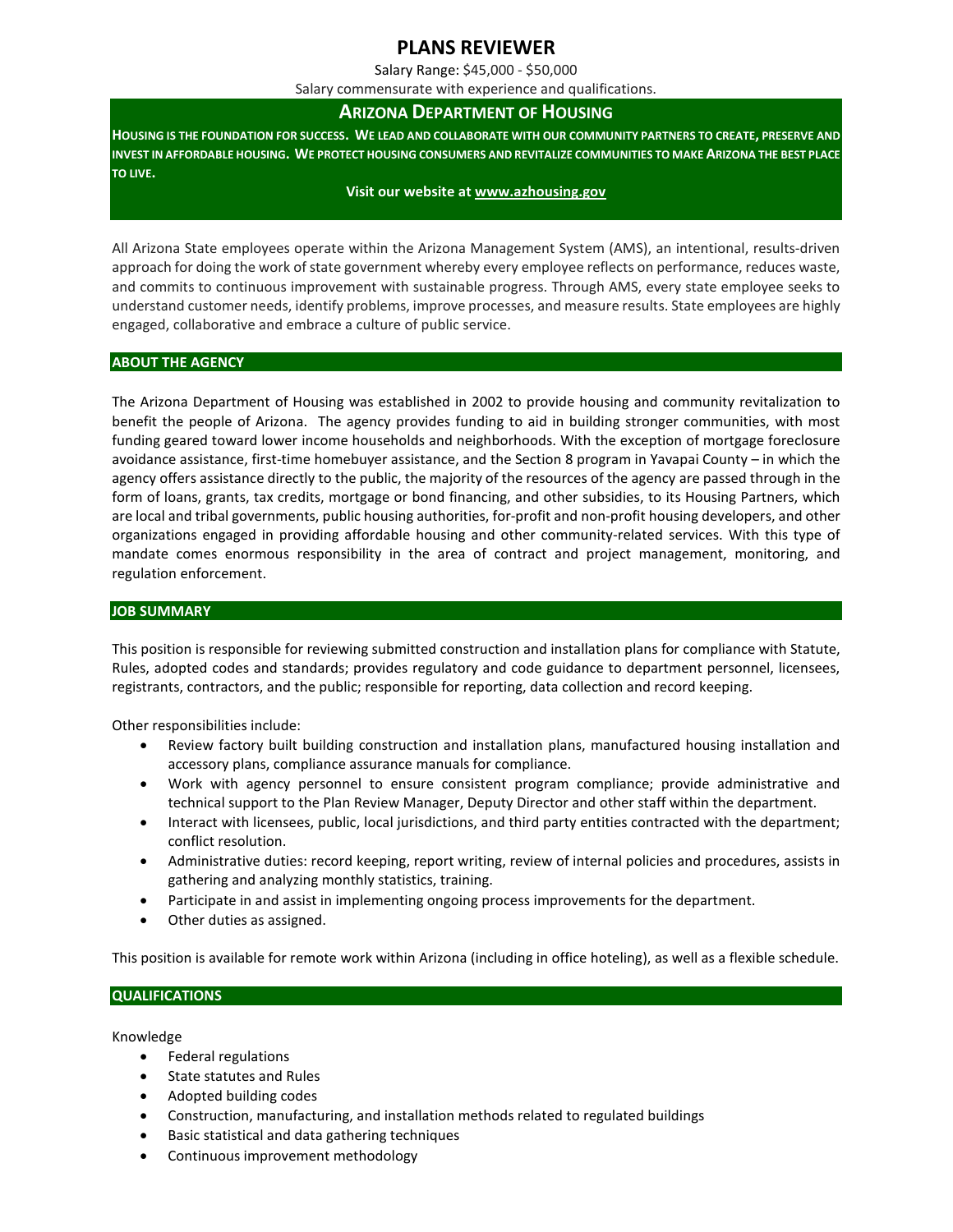# **PLANS REVIEWER**

Salary Range: \$45,000 - \$50,000

Salary commensurate with experience and qualifications.

## **ARIZONA DEPARTMENT OF HOUSING**

**HOUSING IS THE FOUNDATION FOR SUCCESS. WE LEAD AND COLLABORATE WITH OUR COMMUNITY PARTNERS TO CREATE, PRESERVE AND INVEST IN AFFORDABLE HOUSING. WE PROTECT HOUSING CONSUMERS AND REVITALIZE COMMUNITIES TO MAKE ARIZONA THE BEST PLACE TO LIVE.**

#### **Visit our website at [www.azhousing.gov](http://www.azwater.gov/)**

All Arizona State employees operate within the Arizona Management System (AMS), an intentional, results-driven approach for doing the work of state government whereby every employee reflects on performance, reduces waste, and commits to continuous improvement with sustainable progress. Through AMS, every state employee seeks to understand customer needs, identify problems, improve processes, and measure results. State employees are highly engaged, collaborative and embrace a culture of public service.

### **ABOUT THE AGENCY**

The Arizona Department of Housing was established in 2002 to provide housing and community revitalization to benefit the people of Arizona. The agency provides funding to aid in building stronger communities, with most funding geared toward lower income households and neighborhoods. With the exception of mortgage foreclosure avoidance assistance, first-time homebuyer assistance, and the Section 8 program in Yavapai County – in which the agency offers assistance directly to the public, the majority of the resources of the agency are passed through in the form of loans, grants, tax credits, mortgage or bond financing, and other subsidies, to its Housing Partners, which are local and tribal governments, public housing authorities, for-profit and non-profit housing developers, and other organizations engaged in providing affordable housing and other community-related services. With this type of mandate comes enormous responsibility in the area of contract and project management, monitoring, and regulation enforcement.

### **JOB SUMMARY**

This position is responsible for reviewing submitted construction and installation plans for compliance with Statute, Rules, adopted codes and standards; provides regulatory and code guidance to department personnel, licensees, registrants, contractors, and the public; responsible for reporting, data collection and record keeping.

Other responsibilities include:

- Review factory built building construction and installation plans, manufactured housing installation and accessory plans, compliance assurance manuals for compliance.
- Work with agency personnel to ensure consistent program compliance; provide administrative and technical support to the Plan Review Manager, Deputy Director and other staff within the department.
- Interact with licensees, public, local jurisdictions, and third party entities contracted with the department; conflict resolution.
- Administrative duties: record keeping, report writing, review of internal policies and procedures, assists in gathering and analyzing monthly statistics, training.
- Participate in and assist in implementing ongoing process improvements for the department.
- Other duties as assigned.

This position is available for remote work within Arizona (including in office hoteling), as well as a flexible schedule.

### **QUALIFICATIONS**

Knowledge

- Federal regulations
- State statutes and Rules
- Adopted building codes
- Construction, manufacturing, and installation methods related to regulated buildings
- Basic statistical and data gathering techniques
- Continuous improvement methodology